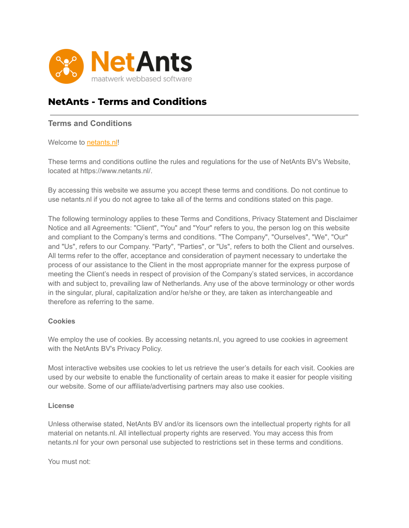

# **NetAnts - Terms and Conditions**

## **Terms and Conditions**

#### Welcome to **[netants.nl!](http://www.netants.nl)**

These terms and conditions outline the rules and regulations for the use of NetAnts BV's Website, located at https://www.netants.nl/.

By accessing this website we assume you accept these terms and conditions. Do not continue to use netants.nl if you do not agree to take all of the terms and conditions stated on this page.

The following terminology applies to these Terms and Conditions, Privacy Statement and Disclaimer Notice and all Agreements: "Client", "You" and "Your" refers to you, the person log on this website and compliant to the Company's terms and conditions. "The Company", "Ourselves", "We", "Our" and "Us", refers to our Company. "Party", "Parties", or "Us", refers to both the Client and ourselves. All terms refer to the offer, acceptance and consideration of payment necessary to undertake the process of our assistance to the Client in the most appropriate manner for the express purpose of meeting the Client's needs in respect of provision of the Company's stated services, in accordance with and subject to, prevailing law of Netherlands. Any use of the above terminology or other words in the singular, plural, capitalization and/or he/she or they, are taken as interchangeable and therefore as referring to the same.

#### **Cookies**

We employ the use of cookies. By accessing netants.nl, you agreed to use cookies in agreement with the NetAnts BV's Privacy Policy.

Most interactive websites use cookies to let us retrieve the user's details for each visit. Cookies are used by our website to enable the functionality of certain areas to make it easier for people visiting our website. Some of our affiliate/advertising partners may also use cookies.

#### **License**

Unless otherwise stated, NetAnts BV and/or its licensors own the intellectual property rights for all material on netants.nl. All intellectual property rights are reserved. You may access this from netants.nl for your own personal use subjected to restrictions set in these terms and conditions.

You must not: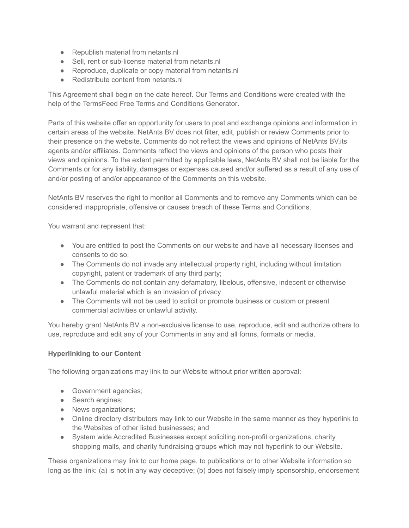- Republish material from netants.nl
- Sell, rent or sub-license material from netants.nl
- Reproduce, duplicate or copy material from netants.nl
- Redistribute content from netants.nl

This Agreement shall begin on the date hereof. Our Terms and Conditions were created with the help of the [TermsFeed Free Terms and Conditions Generator.](https://www.termsfeed.com/terms-conditions-generator/)

Parts of this website offer an opportunity for users to post and exchange opinions and information in certain areas of the website. NetAnts BV does not filter, edit, publish or review Comments prior to their presence on the website. Comments do not reflect the views and opinions of NetAnts BV,its agents and/or affiliates. Comments reflect the views and opinions of the person who posts their views and opinions. To the extent permitted by applicable laws, NetAnts BV shall not be liable for the Comments or for any liability, damages or expenses caused and/or suffered as a result of any use of and/or posting of and/or appearance of the Comments on this website.

NetAnts BV reserves the right to monitor all Comments and to remove any Comments which can be considered inappropriate, offensive or causes breach of these Terms and Conditions.

You warrant and represent that:

- You are entitled to post the Comments on our website and have all necessary licenses and consents to do so;
- The Comments do not invade any intellectual property right, including without limitation copyright, patent or trademark of any third party;
- The Comments do not contain any defamatory, libelous, offensive, indecent or otherwise unlawful material which is an invasion of privacy
- The Comments will not be used to solicit or promote business or custom or present commercial activities or unlawful activity.

You hereby grant NetAnts BV a non-exclusive license to use, reproduce, edit and authorize others to use, reproduce and edit any of your Comments in any and all forms, formats or media.

#### **Hyperlinking to our Content**

The following organizations may link to our Website without prior written approval:

- Government agencies;
- Search engines;
- News organizations;
- Online directory distributors may link to our Website in the same manner as they hyperlink to the Websites of other listed businesses; and
- System wide Accredited Businesses except soliciting non-profit organizations, charity shopping malls, and charity fundraising groups which may not hyperlink to our Website.

These organizations may link to our home page, to publications or to other Website information so long as the link: (a) is not in any way deceptive; (b) does not falsely imply sponsorship, endorsement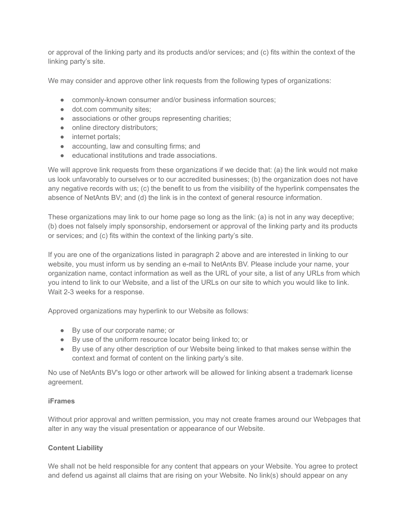or approval of the linking party and its products and/or services; and (c) fits within the context of the linking party's site.

We may consider and approve other link requests from the following types of organizations:

- commonly-known consumer and/or business information sources;
- dot.com community sites;
- associations or other groups representing charities;
- online directory distributors;
- internet portals;
- accounting, law and consulting firms; and
- educational institutions and trade associations.

We will approve link requests from these organizations if we decide that: (a) the link would not make us look unfavorably to ourselves or to our accredited businesses; (b) the organization does not have any negative records with us; (c) the benefit to us from the visibility of the hyperlink compensates the absence of NetAnts BV; and (d) the link is in the context of general resource information.

These organizations may link to our home page so long as the link: (a) is not in any way deceptive; (b) does not falsely imply sponsorship, endorsement or approval of the linking party and its products or services; and (c) fits within the context of the linking party's site.

If you are one of the organizations listed in paragraph 2 above and are interested in linking to our website, you must inform us by sending an e-mail to NetAnts BV. Please include your name, your organization name, contact information as well as the URL of your site, a list of any URLs from which you intend to link to our Website, and a list of the URLs on our site to which you would like to link. Wait 2-3 weeks for a response.

Approved organizations may hyperlink to our Website as follows:

- By use of our corporate name; or
- By use of the uniform resource locator being linked to; or
- By use of any other description of our Website being linked to that makes sense within the context and format of content on the linking party's site.

No use of NetAnts BV's logo or other artwork will be allowed for linking absent a trademark license agreement.

#### **iFrames**

Without prior approval and written permission, you may not create frames around our Webpages that alter in any way the visual presentation or appearance of our Website.

#### **Content Liability**

We shall not be held responsible for any content that appears on your Website. You agree to protect and defend us against all claims that are rising on your Website. No link(s) should appear on any